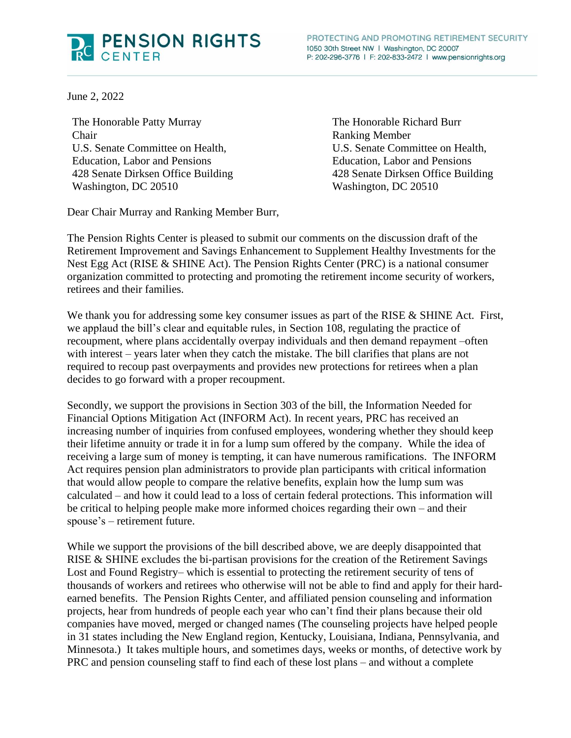

June 2, 2022

The Honorable Patty Murray Chair U.S. Senate Committee on Health, Education, Labor and Pensions 428 Senate Dirksen Office Building Washington, DC 20510

The Honorable Richard Burr Ranking Member U.S. Senate Committee on Health, Education, Labor and Pensions 428 Senate Dirksen Office Building Washington, DC 20510

Dear Chair Murray and Ranking Member Burr,

The Pension Rights Center is pleased to submit our comments on the discussion draft of the Retirement Improvement and Savings Enhancement to Supplement Healthy Investments for the Nest Egg Act (RISE & SHINE Act). The Pension Rights Center (PRC) is a national consumer organization committed to protecting and promoting the retirement income security of workers, retirees and their families.

We thank you for addressing some key consumer issues as part of the RISE & SHINE Act. First, we applaud the bill's clear and equitable rules, in Section 108, regulating the practice of recoupment, where plans accidentally overpay individuals and then demand repayment –often with interest – years later when they catch the mistake. The bill clarifies that plans are not required to recoup past overpayments and provides new protections for retirees when a plan decides to go forward with a proper recoupment.

Secondly, we support the provisions in Section 303 of the bill, the Information Needed for Financial Options Mitigation Act (INFORM Act). In recent years, PRC has received an increasing number of inquiries from confused employees, wondering whether they should keep their lifetime annuity or trade it in for a lump sum offered by the company. While the idea of receiving a large sum of money is tempting, it can have numerous ramifications. The INFORM Act requires pension plan administrators to provide plan participants with critical information that would allow people to compare the relative benefits, explain how the lump sum was calculated – and how it could lead to a loss of certain federal protections. This information will be critical to helping people make more informed choices regarding their own – and their spouse's – retirement future.

While we support the provisions of the bill described above, we are deeply disappointed that RISE & SHINE excludes the bi-partisan provisions for the creation of the Retirement Savings Lost and Found Registry– which is essential to protecting the retirement security of tens of thousands of workers and retirees who otherwise will not be able to find and apply for their hardearned benefits. The Pension Rights Center, and affiliated pension counseling and information projects, hear from hundreds of people each year who can't find their plans because their old companies have moved, merged or changed names (The counseling projects have helped people in 31 states including the New England region, Kentucky, Louisiana, Indiana, Pennsylvania, and Minnesota.) It takes multiple hours, and sometimes days, weeks or months, of detective work by PRC and pension counseling staff to find each of these lost plans – and without a complete